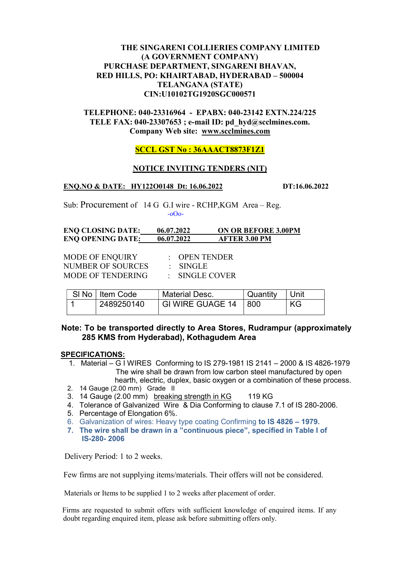# THE SINGARENI COLLIERIES COMPANY LIMITED (A GOVERNMENT COMPANY) PURCHASE DEPARTMENT, SINGARENI BHAVAN, RED HILLS, PO: KHAIRTABAD, HYDERABAD – 500004 TELANGANA (STATE) CIN:U10102TG1920SGC000571

# TELEPHONE: 040-23316964 - EPABX: 040-23142 EXTN.224/225 TELE FAX: 040-23307653 ; e-mail ID: pd\_hyd@scclmines.com. Company Web site: www.scclmines.com

# SCCL GST No : 36AAACT8873F1Z1

### NOTICE INVITING TENDERS (NIT)

#### ENO.NO & DATE: HY122O0148 Dt: 16.06.2022 DT:16.06.2022

Sub: Procurement of 14 G G.I wire - RCHP,KGM Area – Reg. -oOo-

| <b>ENQ CLOSING DATE:</b> | 06.07.2022 | <b>ON OR BEFORE 3.00PM</b> |
|--------------------------|------------|----------------------------|
| <b>ENQ OPENING DATE:</b> | 06.07.2022 | <b>AFTER 3.00 PM</b>       |

MODE OF ENQUIRY : OPEN TENDER NUMBER OF SOURCES : SINGLE<br>MODE OF TENDERING : SINGLE COVER MODE OF TENDERING

| SI No   Item Code | <b>Material Desc.</b> | Quantity      | Unit |
|-------------------|-----------------------|---------------|------|
| 2489250140        | GI WIRE GUAGE 14      | <u> L 800</u> | KG   |

# Note: To be transported directly to Area Stores, Rudrampur (approximately 285 KMS from Hyderabad), Kothagudem Area

### SPECIFICATIONS:

- 1. Material G I WIRES Conforming to IS 279-1981 IS 2141 2000 & IS 4826-1979 The wire shall be drawn from low carbon steel manufactured by open hearth, electric, duplex, basic oxygen or a combination of these process.
- 2. 14 Gauge (2.00 mm) Grade II
- 3. 14 Gauge (2.00 mm) breaking strength in KG 119 KG
- 4. Tolerance of Galvanized Wire & Dia Conforming to clause 7.1 of IS 280-2006.
- 5. Percentage of Elongation 6%.
- 6. Galvanization of wires: Heavy type coating Confirming to IS 4826 1979.
- 7. The wire shall be drawn in a "continuous piece", specified in Table I of IS-280- 2006

Delivery Period: 1 to 2 weeks.

Few firms are not supplying items/materials. Their offers will not be considered.

Materials or Items to be supplied 1 to 2 weeks after placement of order.

 Firms are requested to submit offers with sufficient knowledge of enquired items. If any doubt regarding enquired item, please ask before submitting offers only.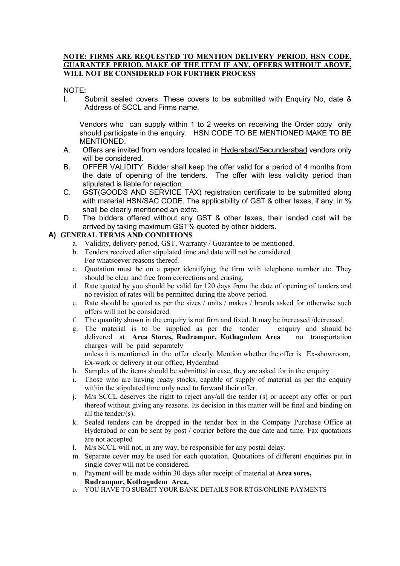#### NOTE: FIRMS ARE REQUESTED TO MENTION DELIVERY PERIOD, HSN CODE, GUARANTEE PERIOD, MAKE OF THE ITEM IF ANY, OFFERS WITHOUT ABOVE, WILL NOT BE CONSIDERED FOR FURTHER PROCESS

#### NOTE:

I. Submit sealed covers. These covers to be submitted with Enquiry No, date & Address of SCCL and Firms name.

Vendors who can supply within 1 to 2 weeks on receiving the Order copy only should participate in the enquiry. HSN CODE TO BE MENTIONED MAKE TO BE MENTIONED.

- A. Offers are invited from vendors located in Hyderabad/Secunderabad vendors only will be considered.
- B. OFFER VALIDITY: Bidder shall keep the offer valid for a period of 4 months from the date of opening of the tenders. The offer with less validity period than stipulated is liable for rejection.
- C. GST(GOODS AND SERVICE TAX) registration certificate to be submitted along with material HSN/SAC CODE. The applicability of GST & other taxes, if any, in % shall be clearly mentioned an extra.
- D. The bidders offered without any GST & other taxes, their landed cost will be arrived by taking maximum GST% quoted by other bidders.

### A) GENERAL TERMS AND CONDITIONS

- a. Validity, delivery period, GST, Warranty / Guarantee to be mentioned.
- b. Tenders received after stipulated time and date will not be considered For whatsoever reasons thereof.
- c. Quotation must be on a paper identifying the firm with telephone number etc. They should be clear and free from corrections and erasing.
- d. Rate quoted by you should be valid for 120 days from the date of opening of tenders and no revision of rates will be permitted during the above period.
- e. Rate should be quoted as per the sizes / units / makes / brands asked for otherwise such offers will not be considered.
- f. The quantity shown in the enquiry is not firm and fixed. It may be increased /decreased.
- g. The material is to be supplied as per the tender enquiry and should be delivered at Area Stores, Rudrampur, Kothagudem Area no transportation charges will be paid separately unless it is mentioned in the offer clearly. Mention whether the offer is Ex-showroom,

Ex-work or delivery at our office, Hyderabad

- h. Samples of the items should be submitted in case, they are asked for in the enquiry
- i. Those who are having ready stocks, capable of supply of material as per the enquiry within the stipulated time only need to forward their offer.
- j. M/s SCCL deserves the right to reject any/all the tender (s) or accept any offer or part thereof without giving any reasons. Its decision in this matter will be final and binding on all the tender/(s).
- k. Sealed tenders can be dropped in the tender box in the Company Purchase Office at Hyderabad or can be sent by post / courier before the due date and time. Fax quotations are not accepted
- l. M/s SCCL will not, in any way, be responsible for any postal delay.
- m. Separate cover may be used for each quotation. Quotations of different enquiries put in single cover will not be considered.
- n. Payment will be made within 30 days after receipt of material at Area sores, Rudrampur, Kothagudem Area.
- o. YOU HAVE TO SUBMIT YOUR BANK DETAILS FOR RTGS/ONLINE PAYMENTS